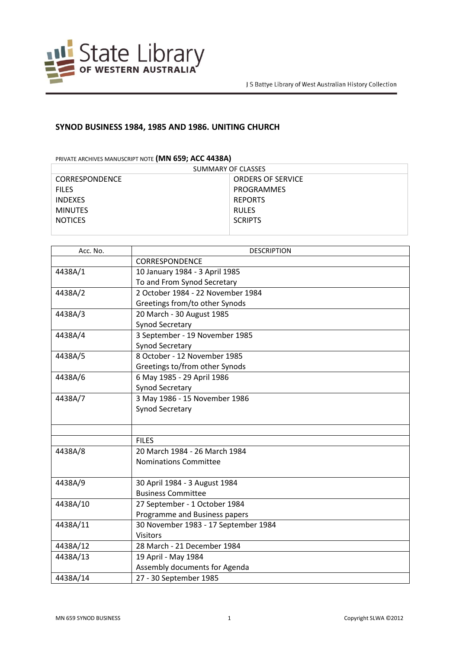

## **SYNOD BUSINESS 1984, 1985 AND 1986. UNITING CHURCH**

PRIVATE ARCHIVES MANUSCRIPT NOTE **(MN 659; ACC 4438A)**

| SUMMARY OF CLASSES    |                          |  |
|-----------------------|--------------------------|--|
| <b>CORRESPONDENCE</b> | <b>ORDERS OF SERVICE</b> |  |
| <b>FILES</b>          | PROGRAMMES               |  |
| <b>INDEXES</b>        | <b>REPORTS</b>           |  |
| <b>MINUTES</b>        | <b>RULES</b>             |  |
| <b>NOTICES</b>        | <b>SCRIPTS</b>           |  |
|                       |                          |  |

| Acc. No. | <b>DESCRIPTION</b>                   |
|----------|--------------------------------------|
|          | <b>CORRESPONDENCE</b>                |
| 4438A/1  | 10 January 1984 - 3 April 1985       |
|          | To and From Synod Secretary          |
| 4438A/2  | 2 October 1984 - 22 November 1984    |
|          | Greetings from/to other Synods       |
| 4438A/3  | 20 March - 30 August 1985            |
|          | Synod Secretary                      |
| 4438A/4  | 3 September - 19 November 1985       |
|          | <b>Synod Secretary</b>               |
| 4438A/5  | 8 October - 12 November 1985         |
|          | Greetings to/from other Synods       |
| 4438A/6  | 6 May 1985 - 29 April 1986           |
|          | Synod Secretary                      |
| 4438A/7  | 3 May 1986 - 15 November 1986        |
|          | <b>Synod Secretary</b>               |
|          |                                      |
|          |                                      |
|          | <b>FILES</b>                         |
| 4438A/8  | 20 March 1984 - 26 March 1984        |
|          | Nominations Committee                |
|          |                                      |
| 4438A/9  | 30 April 1984 - 3 August 1984        |
|          | <b>Business Committee</b>            |
| 4438A/10 | 27 September - 1 October 1984        |
|          | Programme and Business papers        |
| 4438A/11 | 30 November 1983 - 17 September 1984 |
|          | <b>Visitors</b>                      |
| 4438A/12 | 28 March - 21 December 1984          |
| 4438A/13 | 19 April - May 1984                  |
|          | Assembly documents for Agenda        |
| 4438A/14 | 27 - 30 September 1985               |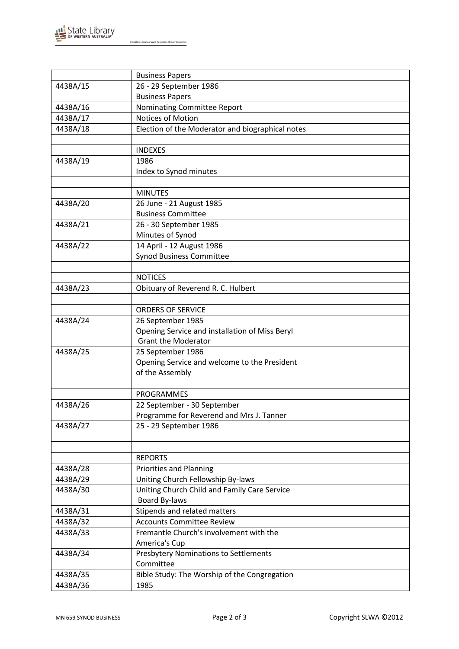

J S Battye Library of West Australian History Collection

|          | <b>Business Papers</b>                           |
|----------|--------------------------------------------------|
| 4438A/15 | 26 - 29 September 1986                           |
|          | <b>Business Papers</b>                           |
| 4438A/16 | Nominating Committee Report                      |
| 4438A/17 | Notices of Motion                                |
| 4438A/18 | Election of the Moderator and biographical notes |
|          |                                                  |
|          | <b>INDEXES</b>                                   |
| 4438A/19 | 1986                                             |
|          | Index to Synod minutes                           |
|          |                                                  |
|          | <b>MINUTES</b>                                   |
| 4438A/20 | 26 June - 21 August 1985                         |
|          | <b>Business Committee</b>                        |
| 4438A/21 | 26 - 30 September 1985                           |
|          | Minutes of Synod                                 |
| 4438A/22 | 14 April - 12 August 1986                        |
|          | <b>Synod Business Committee</b>                  |
|          |                                                  |
|          | <b>NOTICES</b>                                   |
| 4438A/23 | Obituary of Reverend R. C. Hulbert               |
|          |                                                  |
|          | <b>ORDERS OF SERVICE</b>                         |
| 4438A/24 | 26 September 1985                                |
|          | Opening Service and installation of Miss Beryl   |
|          | <b>Grant the Moderator</b>                       |
| 4438A/25 | 25 September 1986                                |
|          | Opening Service and welcome to the President     |
|          | of the Assembly                                  |
|          |                                                  |
|          | <b>PROGRAMMES</b>                                |
| 4438A/26 | 22 September - 30 September                      |
|          | Programme for Reverend and Mrs J. Tanner         |
| 4438A/27 | 25 - 29 September 1986                           |
|          |                                                  |
|          |                                                  |
|          | <b>REPORTS</b>                                   |
| 4438A/28 | <b>Priorities and Planning</b>                   |
| 4438A/29 | Uniting Church Fellowship By-laws                |
| 4438A/30 | Uniting Church Child and Family Care Service     |
|          | <b>Board By-laws</b>                             |
| 4438A/31 | Stipends and related matters                     |
| 4438A/32 | <b>Accounts Committee Review</b>                 |
| 4438A/33 | Fremantle Church's involvement with the          |
|          | America's Cup                                    |
| 4438A/34 | <b>Presbytery Nominations to Settlements</b>     |
|          | Committee                                        |
| 4438A/35 | Bible Study: The Worship of the Congregation     |
| 4438A/36 | 1985                                             |